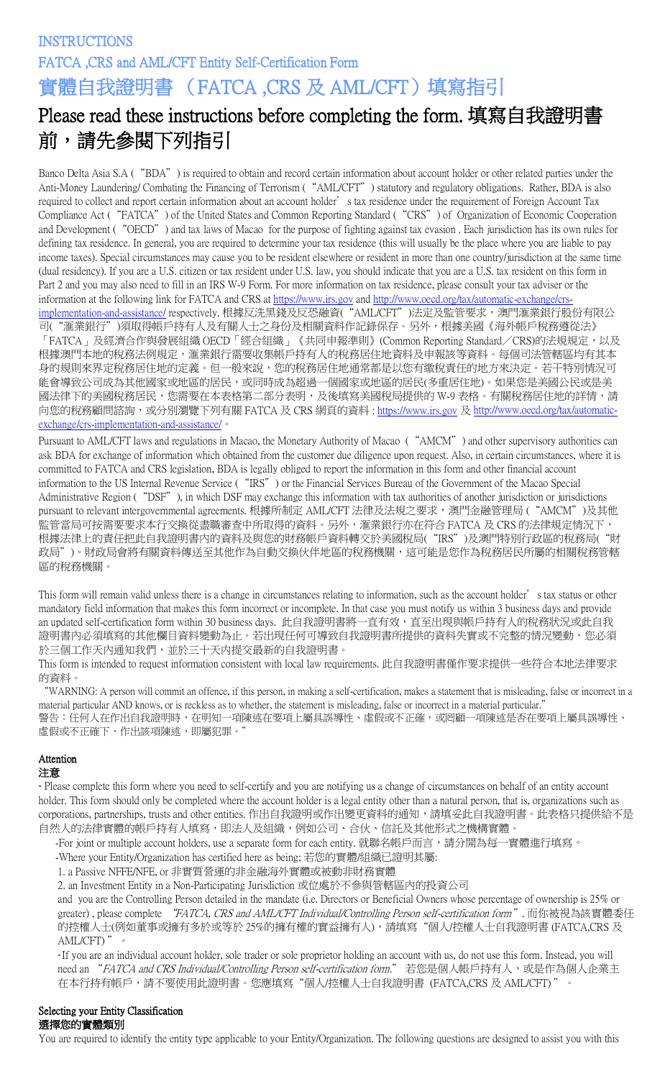# **INSTRUCTIONS** FATCA ,CRS and AML/CFT Entity Self-Certification Form 實體自我證明書 (FATCA ,CRS 及 AML/CFT)填寫指引

# Please read these instructions before completing the form. 填寫自我證明書 前,請先參閱下列指引

Banco Delta Asia S.A ("BDA") is required to obtain and record certain information about account holder or other related parties under the Anti-Money Laundering/ Combating the Financing of Terrorism ("AML/CFT") statutory and regulatory obligations. Rather, BDA is also required to collect and report certain information about an account holder's tax residence under the requirement of Foreign Account Tax Compliance Act ("FATCA") of the United States and Common Reporting Standard ("CRS") of Organization of Economic Cooperation and Development ("OECD") and tax laws of Macao for the purpose of fighting against tax evasion . Each jurisdiction has its own rules for defining tax residence. In general, you are required to determine your tax residence (this will usually be the place where you are liable to pay income taxes). Special circumstances may cause you to be resident elsewhere or resident in more than one country/jurisdiction at the same time (dual residency). If you are a U.S. citizen or tax resident under U.S. law, you should indicate that you are a U.S. tax resident on this form in Part 2 and you may also need to fill in an IRS W-9 Form. For more information on tax residence, please consult your tax adviser or the information at the following link for FATCA and CRS a[t https://www.irs.gov](https://www.irs.gov/) and [http://www.oecd.org/tax/automatic](http://www.oecd.org/tax/automatic%E2%80%90exchange/crs%E2%80%90implementation%E2%80%90and%E2%80%90assistance/)-exchange/crs [implementation](http://www.oecd.org/tax/automatic%E2%80%90exchange/crs%E2%80%90implementation%E2%80%90and%E2%80%90assistance/)-and-assistance/ respectively. 根據反洗黑錢及反恐融資("AML/CFT")法定及監管要求, 澳門滙業銀行股份有限公 司("滙業銀行")須取得帳戶持有人及有關人士之身份及相關資料作記錄保存。另外,根據美國《海外帳戶稅務遵從法》 「FATCA」及經濟合作與發展組織 OECD「經合組織」《共同申報準則》(Common Reporting Standard/CRS)的法規規定,以及 根據澳門本地的稅務法例規定,滙業銀行需要收集帳戶持有人的稅務居住地資料及申報該等資料。每個司法管轄區均有其本 身的規則來界定稅務居住地的定義。但一般來說,您的稅務居住地通常都是以您有繳稅責任的地方來決定。若干特別情況可 能會導致公司成為其他國家或地區的居民,或同時成為超過一個國家或地區的居民(多重居住地)。如果您是美國公民或是美 國法律下的美國稅務居民,您需要在本表格第二部分表明,及後填寫美國稅局提供的 W-9 表格。有關稅務居住地的詳情,請 向您的稅務顧問諮詢,或分別瀏覽下列有關 FATCA 及 CRS 網頁的資料 : <u>https://www.irs.gov</u> 及 <u>[http://www.oecd.org/tax/automatic](http://www.oecd.org/tax/automatic%E2%80%90exchange/crs%E2%80%90implementation%E2%80%90and%E2%80%90assistance/)-</u> exchange/crs‐[implementation](http://www.oecd.org/tax/automatic%E2%80%90exchange/crs%E2%80%90implementation%E2%80%90and%E2%80%90assistance/)‐and‐assistance/。

Pursuant to AML/CFT laws and regulations in Macao, the Monetary Authority of Macao ("AMCM") and other supervisory authorities can ask BDA for exchange of information which obtained from the customer due diligence upon request. Also, in certain circumstances, where it is committed to FATCA and CRS legislation, BDA is legally obliged to report the information in this form and other financial account information to the US Internal Revenue Service ("IRS") or the Financial Services Bureau of the Government of the Macao Special Administrative Region ("DSF"), in which DSF may exchange this information with tax authorities of another jurisdiction or jurisdictions pursuant to relevant intergovernmental agreements. 根據所制定 AML/CFT 法律及法規之要求,澳門金融管理局 ("AMCM")及其他 監管當局可按需要要求本行交換從盡職審查中所取得的資料。另外,滙業銀行亦在符合 FATCA 及 CRS 的法律規定情況下, 根據法律上的責任把此自我證明書內的資料及與您的財務帳戶資料轉交於美國稅局("RS")及澳門特別行政區的稅務局("財 政局")。財政局會將有關資料傳送至其他作為自動交換伙伴地區的稅務機關,這可能是您作為稅務居民所屬的相關稅務管轄 區的稅務機關。

This form will remain valid unless there is a change in circumstances relating to information, such as the account holder's tax status or other mandatory field information that makes this form incorrect or incomplete. In that case you must notify us within 3 business days and provide an updated self-certification form within 30 business days. 此自我證明書將一直有效,直至出現與帳戶持有人的稅務狀況或此自我 證明書內必須填寫的其他欄目資料變動為止。若出現任何可導致自我證明書所提供的資料失實或不完整的情況變動,您必須 於三個工作天內通知我們,並於三十天内提交最新的自我證明書。

This form is intended to request information consistent with local law requirements. 此自我證明書僅作要求提供一些符合本地法律要求 的資料。

"WARNING: A person will commit an offence, if this person, in making a self-certification, makes a statement that is misleading, false or incorrect in a material particular AND knows, or is reckless as to whether, the statement is misleading, false or incorrect in a material particular." 警告:任何人在作出自我證明時,在明知一項陳述在要項上屬具誤導性、虛假或不正確,或罔顧一項陳述是否在要項上屬具誤導性、 虛假或不正確下,作出該項陳述,即屬犯罪。

# Attention

# 注意

- Please complete this form where you need to self-certify and you are notifying us a change of circumstances on behalf of an entity account holder. This form should only be completed where the account holder is a legal entity other than a natural person, that is, organizations such as corporations, partnerships, trusts and other entities. 作出自我證明或作出變更資料的通知,請填妥此自我證明書。此表格只提供給不是 自然人的法律實體的帳戶持有人填寫,即法人及組織,例如公司、合伙、信託及其他形式之機構實體。

-For joint or multiple account holders, use a separate form for each entity. 就聯名帳戶而言,請分開為每一實體進行填寫。

-Where your Entity/Organization has certified here as being; 若您的實體/組織已證明其屬:

1. a Passive NFFE/NFE, or 非實質營運的非金融海外實體或被動非財務實體

2. an Investment Entity in a Non-Participating Jurisdiction 或位處於不參與管轄區內的投資公司

and you are the Controlling Person detailed in the mandate (i.e. Directors or Beneficial Owners whose percentage of ownership is 25% or greater), please complete "FATCA, CRS and AML/CFT Individual/Controlling Person self-certification form". 而你被視為該實體委任 的控權人士(例如董事或擁有多於或等於 25%的擁有權的實益擁有人),請填寫"個人/控權人士自我證明書 (FATCA,CRS 及 AML/CFT) "。

-If you are an individual account holder, sole trader or sole proprietor holding an account with us, do not use this form. Instead, you will need an "FATCA and CRS Individual/Controlling Person self-certification form." 若您是個人帳戶持有人,或是作為個人企業主 在本行持有帳戶,請不要使用此證明書。您應填寫"個人/控權人士自我證明書 (FATCA,CRS 及 AML/CFT) "。

#### Selecting your Entity Classification 選擇您的實體類別

You are required to identify the entity type applicable to your Entity/Organization. The following questions are designed to assist you with this